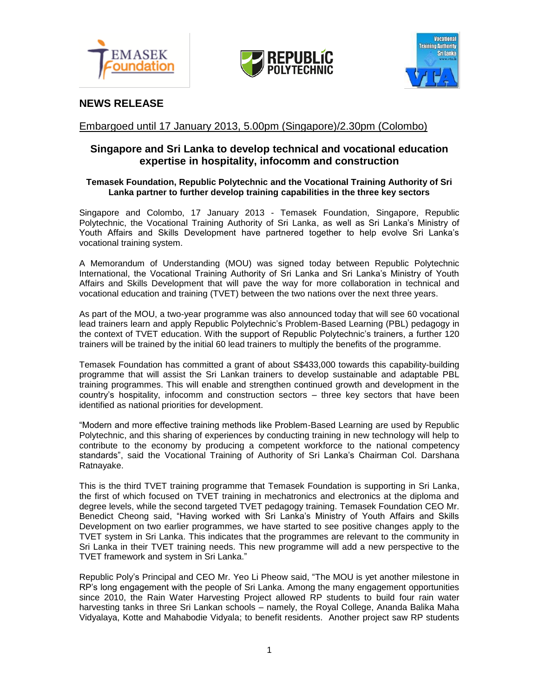





# **NEWS RELEASE**

## Embargoed until 17 January 2013, 5.00pm (Singapore)/2.30pm (Colombo)

## **Singapore and Sri Lanka to develop technical and vocational education expertise in hospitality, infocomm and construction**

## **Temasek Foundation, Republic Polytechnic and the Vocational Training Authority of Sri Lanka partner to further develop training capabilities in the three key sectors**

Singapore and Colombo, 17 January 2013 - Temasek Foundation, Singapore, Republic Polytechnic, the Vocational Training Authority of Sri Lanka, as well as Sri Lanka's Ministry of Youth Affairs and Skills Development have partnered together to help evolve Sri Lanka's vocational training system.

A Memorandum of Understanding (MOU) was signed today between Republic Polytechnic International, the Vocational Training Authority of Sri Lanka and Sri Lanka's Ministry of Youth Affairs and Skills Development that will pave the way for more collaboration in technical and vocational education and training (TVET) between the two nations over the next three years.

As part of the MOU, a two-year programme was also announced today that will see 60 vocational lead trainers learn and apply Republic Polytechnic's Problem-Based Learning (PBL) pedagogy in the context of TVET education. With the support of Republic Polytechnic's trainers, a further 120 trainers will be trained by the initial 60 lead trainers to multiply the benefits of the programme.

Temasek Foundation has committed a grant of about S\$433,000 towards this capability-building programme that will assist the Sri Lankan trainers to develop sustainable and adaptable PBL training programmes. This will enable and strengthen continued growth and development in the country's hospitality, infocomm and construction sectors – three key sectors that have been identified as national priorities for development.

"Modern and more effective training methods like Problem-Based Learning are used by Republic Polytechnic, and this sharing of experiences by conducting training in new technology will help to contribute to the economy by producing a competent workforce to the national competency standards", said the Vocational Training of Authority of Sri Lanka's Chairman Col. Darshana Ratnayake.

This is the third TVET training programme that Temasek Foundation is supporting in Sri Lanka, the first of which focused on TVET training in mechatronics and electronics at the diploma and degree levels, while the second targeted TVET pedagogy training. Temasek Foundation CEO Mr. Benedict Cheong said, "Having worked with Sri Lanka's Ministry of Youth Affairs and Skills Development on two earlier programmes, we have started to see positive changes apply to the TVET system in Sri Lanka. This indicates that the programmes are relevant to the community in Sri Lanka in their TVET training needs. This new programme will add a new perspective to the TVET framework and system in Sri Lanka."

Republic Poly's Principal and CEO Mr. Yeo Li Pheow said, "The MOU is yet another milestone in RP's long engagement with the people of Sri Lanka. Among the many engagement opportunities since 2010, the Rain Water Harvesting Project allowed RP students to build four rain water harvesting tanks in three Sri Lankan schools – namely, the Royal College, Ananda Balika Maha Vidyalaya, Kotte and Mahabodie Vidyala; to benefit residents. Another project saw RP students